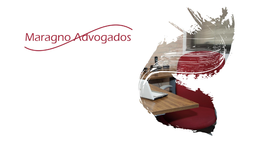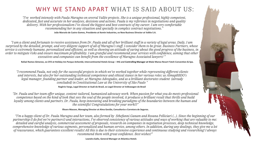*"Dr. Paula and her team offer unique, content-tailored, humanized advocacy work. When passion for what you do meets professional competence based on the kind of look that sees the soul of the people involved, it produces a brilliant result that thrills and build loyalty among clients and partners. Dr. Paula, keep innovating and breaking paradigms of the boundaries between the human and the scientific! Congratulations for your work!!!"*

*"I've worked intensely with Paula Maragno on several Vallée projects. She is a unique professional, highly competent, dedicated, fast and accurate in her analyses, decisions and actions. Paula is my reference in negotiations and quality delivery. With her professionalism I've closed the biggest and best contracts of my career. I am very comfortable recommending her in any situation and specially in complex contract negotiations."*

**Álvaro Masson, Managing Director at Alma Gestão, Consultoria e Corretora de Seguros.**

# WHY WE STAND APART WHAT IS SAID ABOUT US:

*"I am a client and fortunate to receive assistance from Dr. Paula and all of her brilliant staff in a variety of legal areas. Daily, I am surprised by the detailed, prompt, and very diligent support of all of Maragno's staff. I consider them to be great. Business Partners, whose service is extremely humane, personalized and efficient, as well as showing an attitude of caring about the good progress of the business, in order to mitigate risks and ensure maximum profitability. I am grateful and recommend your services with confidence, aiming that other executives and companies can benefit from the excellence of Maragno Associated lawyers! "*

*"I recommend Paula, not only for the successful projects in which we've worked together while representing different clients and interests, but also for her outstanding technical competence and ethical stance in her various roles: as AlmapBBDO's legal manager, founding partner and leader, at Maragno Advogados, and as a brilliant doctorates student (already concluded) in Constitutional Law at the University of São Paulo "*

**Rogério Varga, Legal Director at Audi do Brasil, ex Legal Director at Volkswagen do Brasil**

**Rafael Ramos Gimenez, ex-CFO at Holiday Inn Parque Anhembi, Intercontinental Hotels Group – IHG and Controlling Manager at Malai Manso Resort Yatch Convention & Spa.** 

**João Marcelo de Castro Gomes, Presidente at Kemin Industries, ex New Business Director at Vallée S.A.**

*"I'm a happy client of Dr. Paula Maragno and her team, also formed by Sthefanni Ganam and Rosana Pelliciari (...). Since the beginning of our*  partnership (I do feel we're partners!) and interactions, I've observed consistency of various attitudes and ways of working that are valuable to me: *detailed and careful analysis, commercial assessment of proposals, research on companies in negotiation processes, deep technical knowledge, comprehensive knowledge of various segments, personalized and human service, among others. In addition, during any dealings, they give me a lot of reassurance, which guarantees excellent results! All this is due to their extensive experience and continuous studying and researching! I always recommend them with great confidence. Best wishes!"*

**Leandra Gallo, General Manager at Atlantica Hotels**

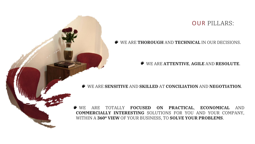### WE ARE **THOROUGH** AND **TECHNICAL** IN OUR DECISIONS.

## WE ARE **ATTENTIVE**, **AGILE** AND **RESOLUTE**.



## WE ARE TOTALLY **FOCUSED ON PRACTICAL**, **ECONOMICAL** AND **COMMERCIALLY INTERESTING** SOLUTIONS FOR YOU AND YOUR COMPANY, WITHIN A **360º VIEW** OF YOUR BUSINESS, TO **SOLVE YOUR PROBLEMS**.

### WE ARE **SENSITIVE** AND **SKILLED** AT **CONCILIATION** AND **NEGOTIATION**.

## OUR PILLARS: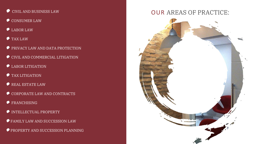- CIVIL AND BUSINESS LAW  $\bullet$
- CONSUMER LAW  $\bullet$
- $\bullet$  LABOR LAW
- $TAX LAW$
- **PRIVACY LAW AND DATA PROTECTION**
- $\bullet$  CIVIL AND COMMERCIAL LITIGATION
- $\bullet$  LABOR LITIGATION
- TAX LITIGATION  $\bullet$
- $\bullet$  REAL ESTATE LAW
- $\bullet$  CORPORATE LAW AND CONTRACTS
- FRANCHISING
- INTELLECTUAL PROPERTY
- FAMILY LAW AND SUCCESSION LAW
- $\clubsuit$  PROPERTY AND SUCCESSION PLANNING

## OUR AREAS OF PRACTICE:



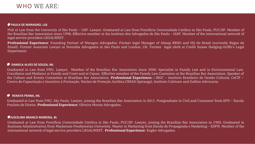### **PAULA DE MARAGNO, LLB**

PhD at Law from the University of São Paulo – USP. Lawyer. Graduated at Law from Pontificia Universidade Católica in São Paulo, PUC/SP. Member of the Brazilian Bar Association since 1998. Effective member at the Instituto dos Advogados de São Paulo – IASP. Member of the international network of legal service providers LEGALWEST.

**Professional Experience**: Founding Partner of Maragno Advogados. Former legal Manager of Almap BBDO and HQ do Brasil (currently Regus do Brasil). Former Associate Lawyer at Noronha Advogados in São Paulo and London, UK. Former legal clerk at Credit Suisse Hedging-Griffo's Legal Department.

### **RENATA PENNA, ML**

Graduated at Law from FMU, São Paulo. Lawyer, joining the Brazilian Bar Association in 2011. Postgraduate in Civil and Consumer from EPD – Escola Paulista de Direito. **Professional Experience**: Oliveira Morais Advogados.

### **JUSCELINO BRANCO MOREIRA, BL**

Graduated at Law from Pontificia Universidade Católica in São Paulo, PUC/SP. Lawyer, joining the Brazilian Bar Association in 1985. Graduated in Business Administration from Mackenzie Presbyterian University. Master in Marketing from Escola de Propaganda e Marketing – ESPM. Member of the international network of legal service providers LEGALWEST. **Professional Experience**: Engler Advogados.

## WHO WE ARE:

### **DANIELA ALVES DE SOUZA, ML**

Graduated in Law from FMU. Lawyer. Member of the Brazilian Bar Association since 2000. Specialist in Family Law and in Environmental Law. Conciliator and Mediator at Family and Court and at Cejusc. Effective member of the Family Law Comission at the Brazilian Bar Association. Speaker of the Culture and Events Committee at Brazilian Bar Association. **Professional Experience: :** IBGC – Instituto Brasileiro de Gestão Cultural, CeCIF – Centro de Capacitação e Incentivo à Formação, Núcleo de Proteção Jurídica CREAS (Ipiranga), Instituto Cultivare and Gullino Advocacia.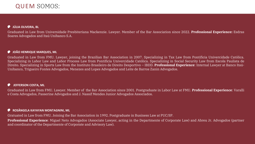### **JEFFERSON COSTA, ML**  $\bullet$

Graduated in Law from FMU. Lawyer, joining the Brazilian Bar Association in 2007. Specializing in Tax Law from Pontificia Univercidade Católica. Specializing in Labor Law and Labor Process Law from Pontificia Univercidade Católica. Specializing in Social Security Law from Escola Paulista de Direito. Specializing in Sports Law from the Instituto Brasileiro de Direito Desportivo – IBDD. **Professional Experience**: Internal Lawyer at Banco Itaú-Unibanco, Trigueiro Fontes Advogados, Menezes and Lopes Advogados and Leite de Barros Zanin Advogados.

Graduated in Law from FMU. Lawyer. Member of the Bar Association since 2001. Postgraduate in Labor Law at FMU. **Professional Experience**: Varalli e Costa Advogados, Passerine Advogados and J. Nassif Mendes Junior Advogados Associados.

# QUEM SOMOS:

### **ROSÂNGELA KAYAYAN MONTAGNINI, ML**

Gratuated in Law from FMU. Joining the Bar Association in 1992. Postgraduate in Business Law at PUC/SP. **Professional Experience**: Miguel Neto Advogados (Associate Lawyer, acting in the Departmente of Corporate Law) and Abreu Jr. Advogados (partner and coordinator of the Departmente of Corporate and Advisory Law).

### **JÚLIA OLIVEIRA, BL**

Graduated in Law from Universidade Presbiteriana Mackenzie. Lawyer. Member of the Bar Association since 2022. **Professional Experience:** Esdras Soares Advogados and Itaú Unibanco S.A.

### **JOÃO HENRIQUE MARQUES, ML**  $\bullet$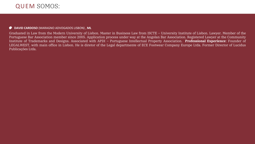# QUEM SOMOS:

### DAVID CARDOSO (MARAGNO ADVOGADOS LISBON), ML

Graduated in Law from the Modern University of Lisbon. Master in Business Law from ISCTE – University Institute of Lisbon. Lawyer. Member of the Portuguese Bar Association member since 2005. Application process under way at the Angolan Bar Association. Registered Lawyer at the Community Institute of Trademarks and Designs. Associated with APDI - Portuguese Intellectual Property Association. Professional Experience: Founder of LEGALWEST, with main office in Lisbon. He is diretor of the Legal departmente of ECE Footwear Company Europe Ltda. Former Director of Lucidus Publicações Ltda.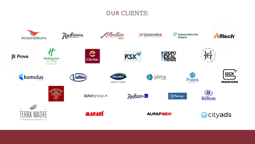

Radisson

Mantica























Aptargroup